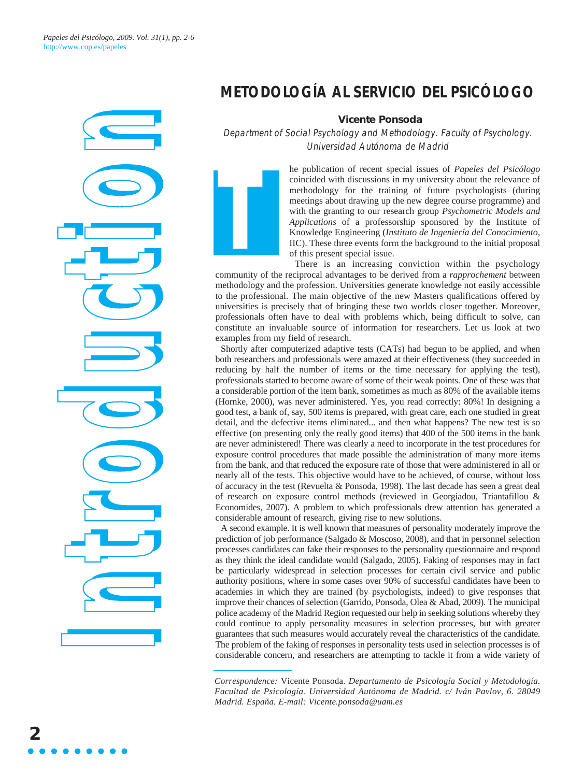*Papeles del Psicólogo, 2009. Vol. 31(1), pp. 2-6* http://www.cop.es/papeles

# <u>I</u> **ttr oo d u cc tti**<br>Tti **h**

### **METODOLOGÍA AL SERVICIO DEL PSICÓLOGO**

#### **Vicente Ponsoda**

Department of Social Psychology and Methodology. Faculty of Psychology. Universidad Autónoma de Madrid



he publication of recent special issues of *Papeles del Psicólogo* coincided with discussions in my university about the relevance of methodology for the training of future psychologists (during meetings about drawing up the new degree course programme) and with the granting to our research group *Psychometric Models and Applications* of a professorship sponsored by the Institute of Knowledge Engineering (*Instituto de Ingeniería del Conocimiento*, IIC). These three events form the background to the initial proposal of this present special issue.

There is an increasing conviction within the psychology community of the reciprocal advantages to be derived from a *rapprochement* between methodology and the profession. Universities generate knowledge not easily accessible to the professional. The main objective of the new Masters qualifications offered by universities is precisely that of bringing these two worlds closer together. Moreover, professionals often have to deal with problems which, being difficult to solve, can constitute an invaluable source of information for researchers. Let us look at two examples from my field of research.

Shortly after computerized adaptive tests (CATs) had begun to be applied, and when both researchers and professionals were amazed at their effectiveness (they succeeded in reducing by half the number of items or the time necessary for applying the test), professionals started to become aware of some of their weak points. One of these was that a considerable portion of the item bank, sometimes as much as 80% of the available items (Hornke, 2000), was never administered. Yes, you read correctly: 80%! In designing a good test, a bank of, say, 500 items is prepared, with great care, each one studied in great detail, and the defective items eliminated... and then what happens? The new test is so effective (on presenting only the really good items) that 400 of the 500 items in the bank are never administered! There was clearly a need to incorporate in the test procedures for exposure control procedures that made possible the administration of many more items from the bank, and that reduced the exposure rate of those that were administered in all or nearly all of the tests. This objective would have to be achieved, of course, without loss of accuracy in the test (Revuelta & Ponsoda, 1998). The last decade has seen a great deal of research on exposure control methods (reviewed in Georgiadou, Triantafillou & Economides, 2007). A problem to which professionals drew attention has generated a considerable amount of research, giving rise to new solutions.

A second example. It is well known that measures of personality moderately improve the prediction of job performance (Salgado & Moscoso, 2008), and that in personnel selection processes candidates can fake their responses to the personality questionnaire and respond as they think the ideal candidate would (Salgado, 2005). Faking of responses may in fact be particularly widespread in selection processes for certain civil service and public authority positions, where in some cases over 90% of successful candidates have been to academies in which they are trained (by psychologists, indeed) to give responses that improve their chances of selection (Garrido, Ponsoda, Olea & Abad, 2009). The municipal police academy of the Madrid Region requested our help in seeking solutions whereby they could continue to apply personality measures in selection processes, but with greater guarantees that such measures would accurately reveal the characteristics of the candidate. The problem of the faking of responses in personality tests used in selection processes is of considerable concern, and researchers are attempting to tackle it from a wide variety of

*Correspondence:* Vicente Ponsoda. *Departamento de Psicología Social y Metodología. Facultad de Psicología. Universidad Autónoma de Madrid. c/ Iván Pavlov, 6. 28049 Madrid. España. E-mail: Vicente.ponsoda@uam.es*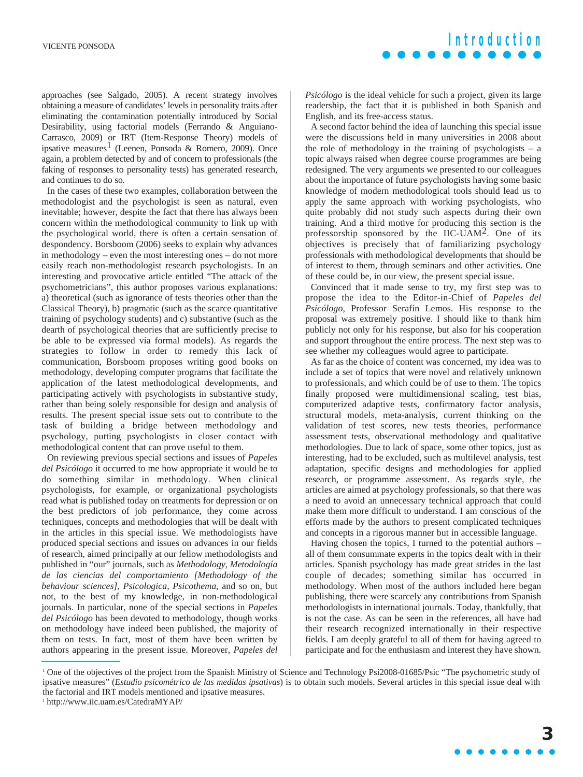

approaches (see Salgado, 2005). A recent strategy involves obtaining a measure of candidates' levels in personality traits after eliminating the contamination potentially introduced by Social Desirability, using factorial models (Ferrando & Anguiano-Carrasco, 2009) or IRT (Item-Response Theory) models of ipsative measures<sup>1</sup> (Leenen, Ponsoda & Romero, 2009). Once again, a problem detected by and of concern to professionals (the faking of responses to personality tests) has generated research, and continues to do so.

In the cases of these two examples, collaboration between the methodologist and the psychologist is seen as natural, even inevitable; however, despite the fact that there has always been concern within the methodological community to link up with the psychological world, there is often a certain sensation of despondency. Borsboom (2006) seeks to explain why advances in methodology – even the most interesting ones – do not more easily reach non-methodologist research psychologists. In an interesting and provocative article entitled "The attack of the psychometricians", this author proposes various explanations: a) theoretical (such as ignorance of tests theories other than the Classical Theory), b) pragmatic (such as the scarce quantitative training of psychology students) and c) substantive (such as the dearth of psychological theories that are sufficiently precise to be able to be expressed via formal models). As regards the strategies to follow in order to remedy this lack of communication, Borsboom proposes writing good books on methodology, developing computer programs that facilitate the application of the latest methodological developments, and participating actively with psychologists in substantive study, rather than being solely responsible for design and analysis of results. The present special issue sets out to contribute to the task of building a bridge between methodology and psychology, putting psychologists in closer contact with methodological content that can prove useful to them.

On reviewing previous special sections and issues of *Papeles del Psicólogo* it occurred to me how appropriate it would be to do something similar in methodology. When clinical psychologists, for example, or organizational psychologists read what is published today on treatments for depression or on the best predictors of job performance, they come across techniques, concepts and methodologies that will be dealt with in the articles in this special issue. We methodologists have produced special sections and issues on advances in our fields of research, aimed principally at our fellow methodologists and published in "our" journals, such as *Methodology, Metodología de las ciencias del comportamiento [Methodology of the behaviour sciences]*, *Psicologica*, *Psicothema*, and so on, but not, to the best of my knowledge, in non-methodological journals. In particular, none of the special sections in *Papeles del Psicólogo* has been devoted to methodology, though works on methodology have indeed been published, the majority of them on tests. In fact, most of them have been written by authors appearing in the present issue. Moreover, *Papeles del* *Psicólogo* is the ideal vehicle for such a project, given its large readership, the fact that it is published in both Spanish and English, and its free-access status.

A second factor behind the idea of launching this special issue were the discussions held in many universities in 2008 about the role of methodology in the training of psychologists – a topic always raised when degree course programmes are being redesigned. The very arguments we presented to our colleagues about the importance of future psychologists having some basic knowledge of modern methodological tools should lead us to apply the same approach with working psychologists, who quite probably did not study such aspects during their own training. And a third motive for producing this section is the professorship sponsored by the IIC-UAM2. One of its objectives is precisely that of familiarizing psychology professionals with methodological developments that should be of interest to them, through seminars and other activities. One of these could be, in our view, the present special issue.

Convinced that it made sense to try, my first step was to propose the idea to the Editor-in-Chief of *Papeles del Psicólogo*, Professor Serafín Lemos. His response to the proposal was extremely positive. I should like to thank him publicly not only for his response, but also for his cooperation and support throughout the entire process. The next step was to see whether my colleagues would agree to participate.

As far as the choice of content was concerned, my idea was to include a set of topics that were novel and relatively unknown to professionals, and which could be of use to them. The topics finally proposed were multidimensional scaling, test bias, computerized adaptive tests, confirmatory factor analysis, structural models, meta-analysis, current thinking on the validation of test scores, new tests theories, performance assessment tests, observational methodology and qualitative methodologies. Due to lack of space, some other topics, just as interesting, had to be excluded, such as multilevel analysis, test adaptation, specific designs and methodologies for applied research, or programme assessment. As regards style, the articles are aimed at psychology professionals, so that there was a need to avoid an unnecessary technical approach that could make them more difficult to understand. I am conscious of the efforts made by the authors to present complicated techniques and concepts in a rigorous manner but in accessible language.

Having chosen the topics, I turned to the potential authors – all of them consummate experts in the topics dealt with in their articles. Spanish psychology has made great strides in the last couple of decades; something similar has occurred in methodology. When most of the authors included here began publishing, there were scarcely any contributions from Spanish methodologists in international journals. Today, thankfully, that is not the case. As can be seen in the references, all have had their research recognized internationally in their respective fields. I am deeply grateful to all of them for having agreed to participate and for the enthusiasm and interest they have shown.

<sup>&</sup>lt;sup>1</sup> One of the objectives of the project from the Spanish Ministry of Science and Technology Psi2008-01685/Psic "The psychometric study of ipsative measures" (*Estudio psicométrico de las medidas ipsativas*) is to obtain such models. Several articles in this special issue deal with the factorial and IRT models mentioned and ipsative measures.

<sup>1</sup> http://www.iic.uam.es/CatedraMYAP/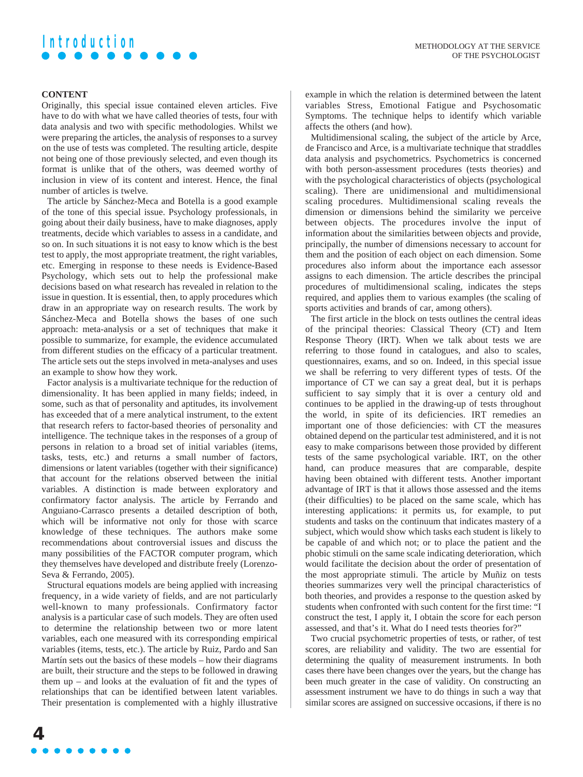## **Introduction**

### **CONTENT**

Originally, this special issue contained eleven articles. Five have to do with what we have called theories of tests, four with data analysis and two with specific methodologies. Whilst we were preparing the articles, the analysis of responses to a survey on the use of tests was completed. The resulting article, despite not being one of those previously selected, and even though its format is unlike that of the others, was deemed worthy of inclusion in view of its content and interest. Hence, the final number of articles is twelve.

The article by Sánchez-Meca and Botella is a good example of the tone of this special issue. Psychology professionals, in going about their daily business, have to make diagnoses, apply treatments, decide which variables to assess in a candidate, and so on. In such situations it is not easy to know which is the best test to apply, the most appropriate treatment, the right variables, etc. Emerging in response to these needs is Evidence-Based Psychology, which sets out to help the professional make decisions based on what research has revealed in relation to the issue in question. It is essential, then, to apply procedures which draw in an appropriate way on research results. The work by Sánchez-Meca and Botella shows the bases of one such approach: meta-analysis or a set of techniques that make it possible to summarize, for example, the evidence accumulated from different studies on the efficacy of a particular treatment. The article sets out the steps involved in meta-analyses and uses an example to show how they work.

Factor analysis is a multivariate technique for the reduction of dimensionality. It has been applied in many fields; indeed, in some, such as that of personality and aptitudes, its involvement has exceeded that of a mere analytical instrument, to the extent that research refers to factor-based theories of personality and intelligence. The technique takes in the responses of a group of persons in relation to a broad set of initial variables (items, tasks, tests, etc.) and returns a small number of factors, dimensions or latent variables (together with their significance) that account for the relations observed between the initial variables. A distinction is made between exploratory and confirmatory factor analysis. The article by Ferrando and Anguiano-Carrasco presents a detailed description of both, which will be informative not only for those with scarce knowledge of these techniques. The authors make some recommendations about controversial issues and discuss the many possibilities of the FACTOR computer program, which they themselves have developed and distribute freely (Lorenzo-Seva & Ferrando, 2005).

Structural equations models are being applied with increasing frequency, in a wide variety of fields, and are not particularly well-known to many professionals. Confirmatory factor analysis is a particular case of such models. They are often used to determine the relationship between two or more latent variables, each one measured with its corresponding empirical variables (items, tests, etc.). The article by Ruiz, Pardo and San Martín sets out the basics of these models – how their diagrams are built, their structure and the steps to be followed in drawing them up – and looks at the evaluation of fit and the types of relationships that can be identified between latent variables. Their presentation is complemented with a highly illustrative example in which the relation is determined between the latent variables Stress, Emotional Fatigue and Psychosomatic Symptoms. The technique helps to identify which variable affects the others (and how).

Multidimensional scaling, the subject of the article by Arce, de Francisco and Arce, is a multivariate technique that straddles data analysis and psychometrics. Psychometrics is concerned with both person-assessment procedures (tests theories) and with the psychological characteristics of objects (psychological scaling). There are unidimensional and multidimensional scaling procedures. Multidimensional scaling reveals the dimension or dimensions behind the similarity we perceive between objects. The procedures involve the input of information about the similarities between objects and provide, principally, the number of dimensions necessary to account for them and the position of each object on each dimension. Some procedures also inform about the importance each assessor assigns to each dimension. The article describes the principal procedures of multidimensional scaling, indicates the steps required, and applies them to various examples (the scaling of sports activities and brands of car, among others).

The first article in the block on tests outlines the central ideas of the principal theories: Classical Theory (CT) and Item Response Theory (IRT). When we talk about tests we are referring to those found in catalogues, and also to scales, questionnaires, exams, and so on. Indeed, in this special issue we shall be referring to very different types of tests. Of the importance of CT we can say a great deal, but it is perhaps sufficient to say simply that it is over a century old and continues to be applied in the drawing-up of tests throughout the world, in spite of its deficiencies. IRT remedies an important one of those deficiencies: with CT the measures obtained depend on the particular test administered, and it is not easy to make comparisons between those provided by different tests of the same psychological variable. IRT, on the other hand, can produce measures that are comparable, despite having been obtained with different tests. Another important advantage of IRT is that it allows those assessed and the items (their difficulties) to be placed on the same scale, which has interesting applications: it permits us, for example, to put students and tasks on the continuum that indicates mastery of a subject, which would show which tasks each student is likely to be capable of and which not; or to place the patient and the phobic stimuli on the same scale indicating deterioration, which would facilitate the decision about the order of presentation of the most appropriate stimuli. The article by Muñiz on tests theories summarizes very well the principal characteristics of both theories, and provides a response to the question asked by students when confronted with such content for the first time: "I construct the test, I apply it, I obtain the score for each person assessed, and that's it. What do I need tests theories for?"

Two crucial psychometric properties of tests, or rather, of test scores, are reliability and validity. The two are essential for determining the quality of measurement instruments. In both cases there have been changes over the years, but the change has been much greater in the case of validity. On constructing an assessment instrument we have to do things in such a way that similar scores are assigned on successive occasions, if there is no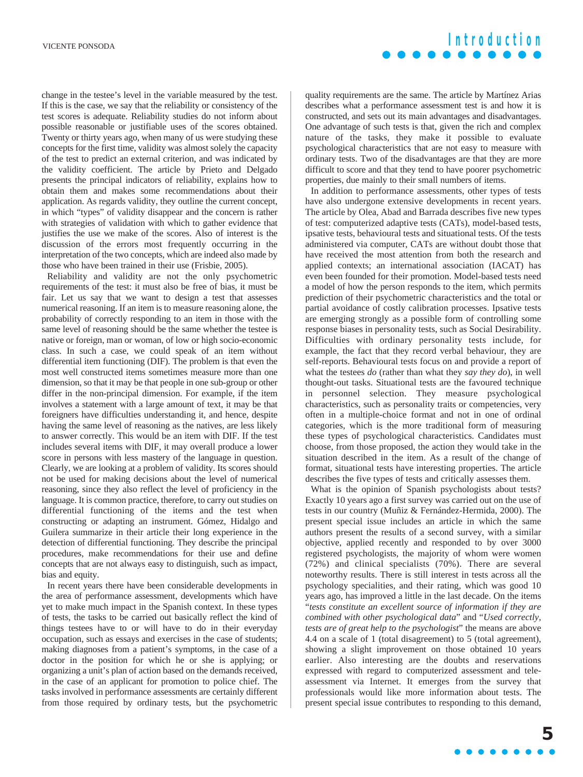**Introduction**

change in the testee's level in the variable measured by the test. If this is the case, we say that the reliability or consistency of the test scores is adequate. Reliability studies do not inform about possible reasonable or justifiable uses of the scores obtained. Twenty or thirty years ago, when many of us were studying these concepts for the first time, validity was almost solely the capacity of the test to predict an external criterion, and was indicated by the validity coefficient. The article by Prieto and Delgado presents the principal indicators of reliability, explains how to obtain them and makes some recommendations about their application. As regards validity, they outline the current concept, in which "types" of validity disappear and the concern is rather with strategies of validation with which to gather evidence that justifies the use we make of the scores. Also of interest is the discussion of the errors most frequently occurring in the interpretation of the two concepts, which are indeed also made by those who have been trained in their use (Frisbie, 2005).

Reliability and validity are not the only psychometric requirements of the test: it must also be free of bias, it must be fair. Let us say that we want to design a test that assesses numerical reasoning. If an item is to measure reasoning alone, the probability of correctly responding to an item in those with the same level of reasoning should be the same whether the testee is native or foreign, man or woman, of low or high socio-economic class. In such a case, we could speak of an item without differential item functioning (DIF). The problem is that even the most well constructed items sometimes measure more than one dimension, so that it may be that people in one sub-group or other differ in the non-principal dimension. For example, if the item involves a statement with a large amount of text, it may be that foreigners have difficulties understanding it, and hence, despite having the same level of reasoning as the natives, are less likely to answer correctly. This would be an item with DIF. If the test includes several items with DIF, it may overall produce a lower score in persons with less mastery of the language in question. Clearly, we are looking at a problem of validity. Its scores should not be used for making decisions about the level of numerical reasoning, since they also reflect the level of proficiency in the language. It is common practice, therefore, to carry out studies on differential functioning of the items and the test when constructing or adapting an instrument. Gómez, Hidalgo and Guilera summarize in their article their long experience in the detection of differential functioning. They describe the principal procedures, make recommendations for their use and define concepts that are not always easy to distinguish, such as impact, bias and equity.

In recent years there have been considerable developments in the area of performance assessment, developments which have yet to make much impact in the Spanish context. In these types of tests, the tasks to be carried out basically reflect the kind of things testees have to or will have to do in their everyday occupation, such as essays and exercises in the case of students; making diagnoses from a patient's symptoms, in the case of a doctor in the position for which he or she is applying; or organizing a unit's plan of action based on the demands received, in the case of an applicant for promotion to police chief. The tasks involved in performance assessments are certainly different from those required by ordinary tests, but the psychometric quality requirements are the same. The article by Martínez Arias describes what a performance assessment test is and how it is constructed, and sets out its main advantages and disadvantages. One advantage of such tests is that, given the rich and complex nature of the tasks, they make it possible to evaluate psychological characteristics that are not easy to measure with ordinary tests. Two of the disadvantages are that they are more difficult to score and that they tend to have poorer psychometric properties, due mainly to their small numbers of items.

In addition to performance assessments, other types of tests have also undergone extensive developments in recent years. The article by Olea, Abad and Barrada describes five new types of test: computerized adaptive tests (CATs), model-based tests, ipsative tests, behavioural tests and situational tests. Of the tests administered via computer, CATs are without doubt those that have received the most attention from both the research and applied contexts; an international association (IACAT) has even been founded for their promotion. Model-based tests need a model of how the person responds to the item, which permits prediction of their psychometric characteristics and the total or partial avoidance of costly calibration processes. Ipsative tests are emerging strongly as a possible form of controlling some response biases in personality tests, such as Social Desirability. Difficulties with ordinary personality tests include, for example, the fact that they record verbal behaviour, they are self-reports. Behavioural tests focus on and provide a report of what the testees *do* (rather than what they *say they do*), in well thought-out tasks. Situational tests are the favoured technique in personnel selection. They measure psychological characteristics, such as personality traits or competencies, very often in a multiple-choice format and not in one of ordinal categories, which is the more traditional form of measuring these types of psychological characteristics. Candidates must choose, from those proposed, the action they would take in the situation described in the item. As a result of the change of format, situational tests have interesting properties. The article describes the five types of tests and critically assesses them.

What is the opinion of Spanish psychologists about tests? Exactly 10 years ago a first survey was carried out on the use of tests in our country (Muñiz & Fernández-Hermida, 2000). The present special issue includes an article in which the same authors present the results of a second survey, with a similar objective, applied recently and responded to by over 3000 registered psychologists, the majority of whom were women (72%) and clinical specialists (70%). There are several noteworthy results. There is still interest in tests across all the psychology specialities, and their rating, which was good 10 years ago, has improved a little in the last decade. On the items "*tests constitute an excellent source of information if they are combined with other psychological data*" and "*Used correctly, tests are of great help to the psychologist*" the means are above 4.4 on a scale of 1 (total disagreement) to 5 (total agreement), showing a slight improvement on those obtained 10 years earlier. Also interesting are the doubts and reservations expressed with regard to computerized assessment and teleassessment via Internet. It emerges from the survey that professionals would like more information about tests. The present special issue contributes to responding to this demand,